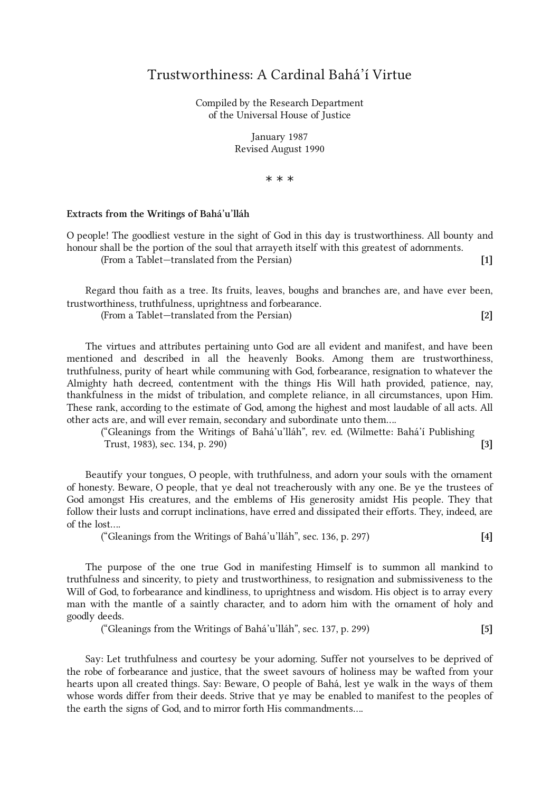## Trustworthiness: A Cardinal Bahá'í Virtue

Compiled by the Research Department of the Universal House of Justice

> January 1987 Revised August 1990

> > \* \* \*

## Extracts from the Writings of Bahá'u'lláh

O people! The goodliest vesture in the sight of God in this day is trustworthiness. All bounty and honour shall be the portion of the soul that arrayeth itself with this greatest of adornments. (From a Tablet—translated from the Persian) [1]

Regard thou faith as a tree. Its fruits, leaves, boughs and branches are, and have ever been, trustworthiness, truthfulness, uprightness and forbearance.

(From a Tablet—translated from the Persian) [2]

The virtues and attributes pertaining unto God are all evident and manifest, and have been mentioned and described in all the heavenly Books. Among them are trustworthiness, truthfulness, purity of heart while communing with God, forbearance, resignation to whatever the Almighty hath decreed, contentment with the things His Will hath provided, patience, nay, thankfulness in the midst of tribulation, and complete reliance, in all circumstances, upon Him. These rank, according to the estimate of God, among the highest and most laudable of all acts. All other acts are, and will ever remain, secondary and subordinate unto them....

("Gleanings from the Writings of Bahá'u'lláh", rev. ed. (Wilmette: Bahá'í Publishing Trust, 1983), sec. 134, p. 290) [3]

Beautify your tongues, O people, with truthfulness, and adorn your souls with the ornament of honesty. Beware, O people, that ye deal not treacherously with any one. Be ye the trustees of God amongst His creatures, and the emblems of His generosity amidst His people. They that follow their lusts and corrupt inclinations, have erred and dissipated their efforts. They, indeed, are of the lost....

("Gleanings from the Writings of Bahá'u'lláh", sec. 136, p. 297) [4]

The purpose of the one true God in manifesting Himself is to summon all mankind to truthfulness and sincerity, to piety and trustworthiness, to resignation and submissiveness to the Will of God, to forbearance and kindliness, to uprightness and wisdom. His object is to array every man with the mantle of a saintly character, and to adorn him with the ornament of holy and goodly deeds.

("Gleanings from the Writings of Bahá'u'lláh", sec. 137, p. 299)  $[5]$ 

Say: Let truthfulness and courtesy be your adorning. Suffer not yourselves to be deprived of the robe of forbearance and justice, that the sweet savours of holiness may be wafted from your hearts upon all created things. Say: Beware, O people of Bahá, lest ye walk in the ways of them whose words differ from their deeds. Strive that ye may be enabled to manifest to the peoples of the earth the signs of God, and to mirror forth His commandments....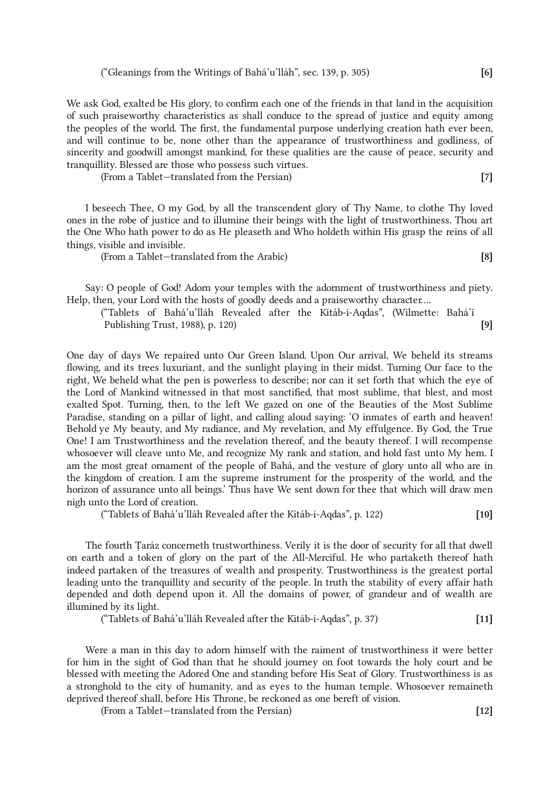We ask God, exalted be His glory, to confirm each one of the friends in that land in the acquisition of such praiseworthy characteristics as shall conduce to the spread of justice and equity among the peoples of the world. The first, the fundamental purpose underlying creation hath ever been, and will continue to be, none other than the appearance of trustworthiness and godliness, of sincerity and goodwill amongst mankind, for these qualities are the cause of peace, security and tranquillity. Blessed are those who possess such virtues.

(From a Tablet—translated from the Persian) [7]

I beseech Thee, O my God, by all the transcendent glory of Thy Name, to clothe Thy loved ones in the robe of justice and to illumine their beings with the light of trustworthiness. Thou art the One Who hath power to do as He pleaseth and Who holdeth within His grasp the reins of all things, visible and invisible.

(From a Tablet—translated from the Arabic) [8]

Say: O people of God! Adorn your temples with the adornment of trustworthiness and piety. Help, then, your Lord with the hosts of goodly deeds and a praiseworthy character....

("Tablets of Bahá'u'lláh Revealed after the Kitáb-i-Aqdas", (Wilmette: Bahá'í Publishing Trust, 1988), p. 120) [9]

One day of days We repaired unto Our Green Island. Upon Our arrival, We beheld its streams flowing, and its trees luxuriant, and the sunlight playing in their midst. Turning Our face to the right, We beheld what the pen is powerless to describe; nor can it set forth that which the eye of the Lord of Mankind witnessed in that most sanctified, that most sublime, that blest, and most exalted Spot. Turning, then, to the left We gazed on one of the Beauties of the Most Sublime Paradise, standing on a pillar of light, and calling aloud saying: 'O inmates of earth and heaven! Behold ye My beauty, and My radiance, and My revelation, and My effulgence. By God, the True One! I am Trustworthiness and the revelation thereof, and the beauty thereof. I will recompense whosoever will cleave unto Me, and recognize My rank and station, and hold fast unto My hem. I am the most great ornament of the people of Bahá, and the vesture of glory unto all who are in the kingdom of creation. I am the supreme instrument for the prosperity of the world, and the horizon of assurance unto all beings.' Thus have We sent down for thee that which will draw men nigh unto the Lord of creation.

("Tablets of Bahá'u'lláh Revealed after the Kitáb-i-Aqdas", p. 122) [10]

The fourth Ṭaráz concerneth trustworthiness. Verily it is the door of security for all that dwell on earth and a token of glory on the part of the All-Merciful. He who partaketh thereof hath indeed partaken of the treasures of wealth and prosperity. Trustworthiness is the greatest portal leading unto the tranquillity and security of the people. In truth the stability of every affair hath depended and doth depend upon it. All the domains of power, of grandeur and of wealth are illumined by its light.

("Tablets of Bahá'u'lláh Revealed after the Kitáb-i-Aqdas", p. 37) [11]

Were a man in this day to adorn himself with the raiment of trustworthiness it were better for him in the sight of God than that he should journey on foot towards the holy court and be blessed with meeting the Adored One and standing before His Seat of Glory. Trustworthiness is as a stronghold to the city of humanity, and as eyes to the human temple. Whosoever remaineth deprived thereof shall, before His Throne, be reckoned as one bereft of vision.

(From a Tablet—translated from the Persian) [12]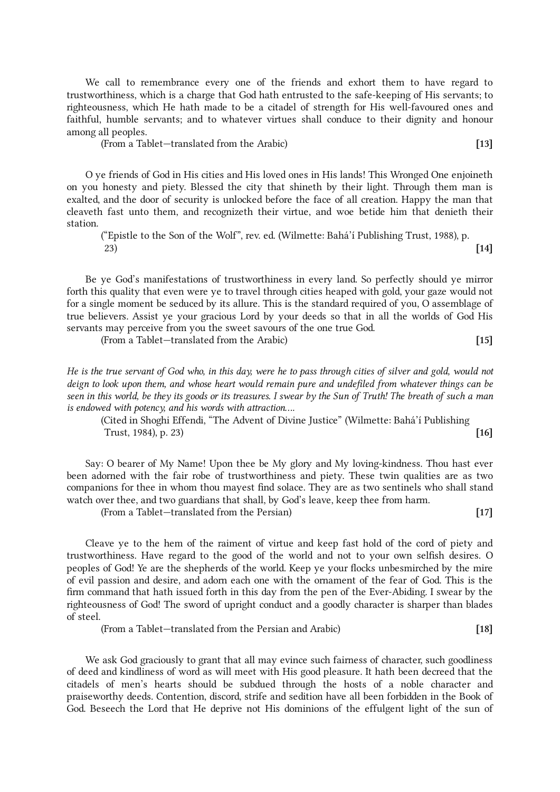We call to remembrance every one of the friends and exhort them to have regard to trustworthiness, which is a charge that God hath entrusted to the safe-keeping of His servants; to righteousness, which He hath made to be a citadel of strength for His well-favoured ones and faithful, humble servants; and to whatever virtues shall conduce to their dignity and honour among all peoples.

(From a Tablet—translated from the Arabic) [13]

O ye friends of God in His cities and His loved ones in His lands! This Wronged One enjoineth on you honesty and piety. Blessed the city that shineth by their light. Through them man is exalted, and the door of security is unlocked before the face of all creation. Happy the man that cleaveth fast unto them, and recognizeth their virtue, and woe betide him that denieth their station.

("Epistle to the Son of the Wolf", rev. ed. (Wilmette: Bahá'í Publishing Trust, 1988), p. 23) [14]

Be ye God's manifestations of trustworthiness in every land. So perfectly should ye mirror forth this quality that even were ye to travel through cities heaped with gold, your gaze would not for a single moment be seduced by its allure. This is the standard required of you, O assemblage of true believers. Assist ye your gracious Lord by your deeds so that in all the worlds of God His servants may perceive from you the sweet savours of the one true God.

(From a Tablet—translated from the Arabic) [15]

He is the true servant of God who, in this day, were he to pass through cities of silver and gold, would not deign to look upon them, and whose heart would remain pure and undefiled from whatever things can be seen in this world, be they its goods or its treasures. I swear by the Sun of Truth! The breath of such a man is endowed with potency, and his words with attraction....

(Cited in Shoghi Effendi, "The Advent of Divine Justice" (Wilmette: Bahá'í Publishing Trust, 1984), p. 23)  $[16]$ 

Say: O bearer of My Name! Upon thee be My glory and My loving-kindness. Thou hast ever been adorned with the fair robe of trustworthiness and piety. These twin qualities are as two companions for thee in whom thou mayest find solace. They are as two sentinels who shall stand watch over thee, and two guardians that shall, by God's leave, keep thee from harm.

(From a Tablet—translated from the Persian) [17]

Cleave ye to the hem of the raiment of virtue and keep fast hold of the cord of piety and trustworthiness. Have regard to the good of the world and not to your own selfish desires. O peoples of God! Ye are the shepherds of the world. Keep ye your flocks unbesmirched by the mire of evil passion and desire, and adorn each one with the ornament of the fear of God. This is the firm command that hath issued forth in this day from the pen of the Ever-Abiding. I swear by the righteousness of God! The sword of upright conduct and a goodly character is sharper than blades of steel.

(From a Tablet—translated from the Persian and Arabic) [18]

We ask God graciously to grant that all may evince such fairness of character, such goodliness of deed and kindliness of word as will meet with His good pleasure. It hath been decreed that the citadels of men's hearts should be subdued through the hosts of a noble character and praiseworthy deeds. Contention, discord, strife and sedition have all been forbidden in the Book of God. Beseech the Lord that He deprive not His dominions of the effulgent light of the sun of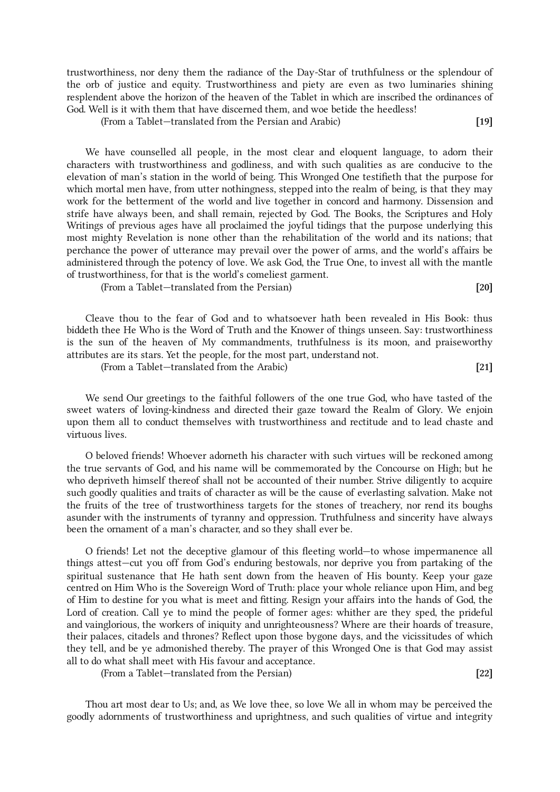trustworthiness, nor deny them the radiance of the Day-Star of truthfulness or the splendour of the orb of justice and equity. Trustworthiness and piety are even as two luminaries shining resplendent above the horizon of the heaven of the Tablet in which are inscribed the ordinances of God. Well is it with them that have discerned them, and woe betide the heedless!

(From a Tablet—translated from the Persian and Arabic) [19]

We have counselled all people, in the most clear and eloquent language, to adorn their characters with trustworthiness and godliness, and with such qualities as are conducive to the elevation of man's station in the world of being. This Wronged One testifieth that the purpose for which mortal men have, from utter nothingness, stepped into the realm of being, is that they may work for the betterment of the world and live together in concord and harmony. Dissension and strife have always been, and shall remain, rejected by God. The Books, the Scriptures and Holy Writings of previous ages have all proclaimed the joyful tidings that the purpose underlying this most mighty Revelation is none other than the rehabilitation of the world and its nations; that perchance the power of utterance may prevail over the power of arms, and the world's affairs be administered through the potency of love. We ask God, the True One, to invest all with the mantle of trustworthiness, for that is the world's comeliest garment.

(From a Tablet—translated from the Persian) [20]

Cleave thou to the fear of God and to whatsoever hath been revealed in His Book: thus biddeth thee He Who is the Word of Truth and the Knower of things unseen. Say: trustworthiness is the sun of the heaven of My commandments, truthfulness is its moon, and praiseworthy attributes are its stars. Yet the people, for the most part, understand not.

(From a Tablet—translated from the Arabic) [21]

We send Our greetings to the faithful followers of the one true God, who have tasted of the sweet waters of loving-kindness and directed their gaze toward the Realm of Glory. We enjoin upon them all to conduct themselves with trustworthiness and rectitude and to lead chaste and virtuous lives.

O beloved friends! Whoever adorneth his character with such virtues will be reckoned among the true servants of God, and his name will be commemorated by the Concourse on High; but he who depriveth himself thereof shall not be accounted of their number. Strive diligently to acquire such goodly qualities and traits of character as will be the cause of everlasting salvation. Make not the fruits of the tree of trustworthiness targets for the stones of treachery, nor rend its boughs asunder with the instruments of tyranny and oppression. Truthfulness and sincerity have always been the ornament of a man's character, and so they shall ever be.

O friends! Let not the deceptive glamour of this fleeting world—to whose impermanence all things attest—cut you off from God's enduring bestowals, nor deprive you from partaking of the spiritual sustenance that He hath sent down from the heaven of His bounty. Keep your gaze centred on Him Who is the Sovereign Word of Truth: place your whole reliance upon Him, and beg of Him to destine for you what is meet and fitting. Resign your affairs into the hands of God, the Lord of creation. Call ye to mind the people of former ages: whither are they sped, the prideful and vainglorious, the workers of iniquity and unrighteousness? Where are their hoards of treasure, their palaces, citadels and thrones? Reflect upon those bygone days, and the vicissitudes of which they tell, and be ye admonished thereby. The prayer of this Wronged One is that God may assist all to do what shall meet with His favour and acceptance.

(From a Tablet—translated from the Persian) [22]

Thou art most dear to Us; and, as We love thee, so love We all in whom may be perceived the goodly adornments of trustworthiness and uprightness, and such qualities of virtue and integrity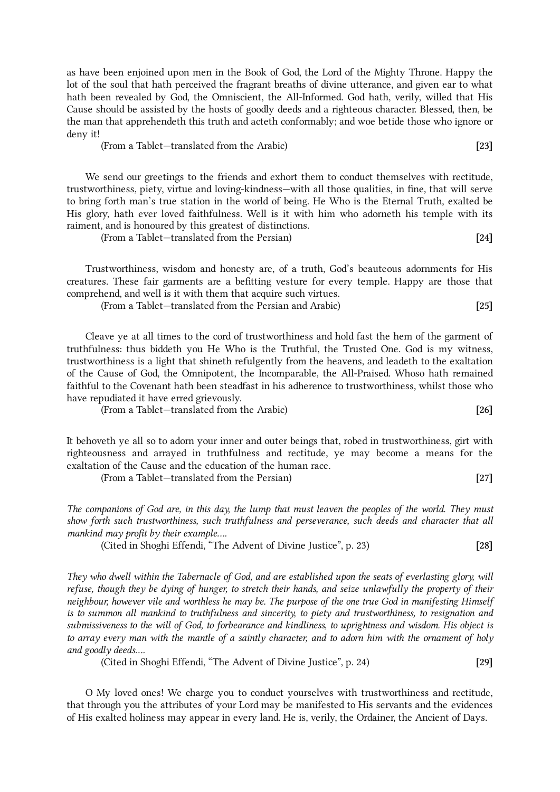as have been enjoined upon men in the Book of God, the Lord of the Mighty Throne. Happy the lot of the soul that hath perceived the fragrant breaths of divine utterance, and given ear to what hath been revealed by God, the Omniscient, the All-Informed. God hath, verily, willed that His Cause should be assisted by the hosts of goodly deeds and a righteous character. Blessed, then, be the man that apprehendeth this truth and acteth conformably; and woe betide those who ignore or deny it!

(From a Tablet—translated from the Arabic) [23]

We send our greetings to the friends and exhort them to conduct themselves with rectitude, trustworthiness, piety, virtue and loving-kindness—with all those qualities, in fine, that will serve to bring forth man's true station in the world of being. He Who is the Eternal Truth, exalted be His glory, hath ever loved faithfulness. Well is it with him who adorneth his temple with its raiment, and is honoured by this greatest of distinctions.

(From a Tablet—translated from the Persian) [24]

Trustworthiness, wisdom and honesty are, of a truth, God's beauteous adornments for His creatures. These fair garments are a befitting vesture for every temple. Happy are those that comprehend, and well is it with them that acquire such virtues.

(From a Tablet—translated from the Persian and Arabic) [25]

Cleave ye at all times to the cord of trustworthiness and hold fast the hem of the garment of truthfulness: thus biddeth you He Who is the Truthful, the Trusted One. God is my witness, trustworthiness is a light that shineth refulgently from the heavens, and leadeth to the exaltation of the Cause of God, the Omnipotent, the Incomparable, the All-Praised. Whoso hath remained faithful to the Covenant hath been steadfast in his adherence to trustworthiness, whilst those who have repudiated it have erred grievously.

(From a Tablet—translated from the Arabic) [26]

It behoveth ye all so to adorn your inner and outer beings that, robed in trustworthiness, girt with righteousness and arrayed in truthfulness and rectitude, ye may become a means for the exaltation of the Cause and the education of the human race.

(From a Tablet—translated from the Persian) [27]

The companions of God are, in this day, the lump that must leaven the peoples of the world. They must show forth such trustworthiness, such truthfulness and perseverance, such deeds and character that all mankind may profit by their example....

(Cited in Shoghi Effendi, "The Advent of Divine Justice", p. 23) [28]

They who dwell within the Tabernacle of God, and are established upon the seats of everlasting glory, will refuse, though they be dying of hunger, to stretch their hands, and seize unlawfully the property of their neighbour, however vile and worthless he may be. The purpose of the one true God in manifesting Himself is to summon all mankind to truthfulness and sincerity, to piety and trustworthiness, to resignation and submissiveness to the will of God, to forbearance and kindliness, to uprightness and wisdom. His object is to array every man with the mantle of a saintly character, and to adorn him with the ornament of holy and goodly deeds....

(Cited in Shoghi Effendi, "The Advent of Divine Justice", p. 24) [29]

O My loved ones! We charge you to conduct yourselves with trustworthiness and rectitude, that through you the attributes of your Lord may be manifested to His servants and the evidences of His exalted holiness may appear in every land. He is, verily, the Ordainer, the Ancient of Days.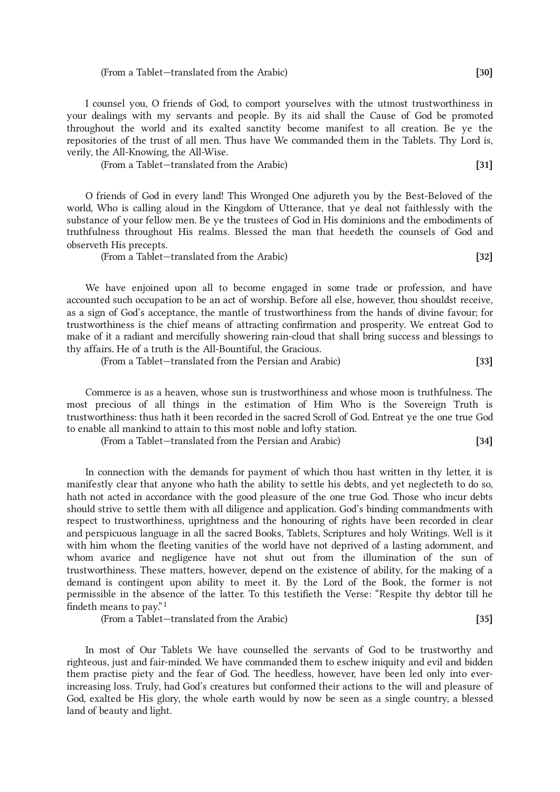(From a Tablet—translated from the Arabic) [30]

I counsel you, O friends of God, to comport yourselves with the utmost trustworthiness in your dealings with my servants and people. By its aid shall the Cause of God be promoted throughout the world and its exalted sanctity become manifest to all creation. Be ye the repositories of the trust of all men. Thus have We commanded them in the Tablets. Thy Lord is, verily, the All-Knowing, the All-Wise.

(From a Tablet—translated from the Arabic) [31]

O friends of God in every land! This Wronged One adjureth you by the Best-Beloved of the world, Who is calling aloud in the Kingdom of Utterance, that ye deal not faithlessly with the substance of your fellow men. Be ye the trustees of God in His dominions and the embodiments of truthfulness throughout His realms. Blessed the man that heedeth the counsels of God and observeth His precepts.

(From a Tablet—translated from the Arabic) [32]

We have enjoined upon all to become engaged in some trade or profession, and have accounted such occupation to be an act of worship. Before all else, however, thou shouldst receive, as a sign of God's acceptance, the mantle of trustworthiness from the hands of divine favour; for trustworthiness is the chief means of attracting confirmation and prosperity. We entreat God to make of it a radiant and mercifully showering rain-cloud that shall bring success and blessings to thy affairs. He of a truth is the All-Bountiful, the Gracious.

(From a Tablet—translated from the Persian and Arabic) [33]

Commerce is as a heaven, whose sun is trustworthiness and whose moon is truthfulness. The most precious of all things in the estimation of Him Who is the Sovereign Truth is trustworthiness: thus hath it been recorded in the sacred Scroll of God. Entreat ye the one true God to enable all mankind to attain to this most noble and lofty station.

(From a Tablet—translated from the Persian and Arabic) [34]

<span id="page-5-0"></span>In connection with the demands for payment of which thou hast written in thy letter, it is manifestly clear that anyone who hath the ability to settle his debts, and yet neglecteth to do so, hath not acted in accordance with the good pleasure of the one true God. Those who incur debts should strive to settle them with all diligence and application. God's binding commandments with respect to trustworthiness, uprightness and the honouring of rights have been recorded in clear and perspicuous language in all the sacred Books, Tablets, Scriptures and holy Writings. Well is it with him whom the fleeting vanities of the world have not deprived of a lasting adornment, and whom avarice and negligence have not shut out from the illumination of the sun of trustworthiness. These matters, however, depend on the existence of ability, for the making of a demand is contingent upon ability to meet it. By the Lord of the Book, the former is not permissible in the absence of the latter. To this testifieth the Verse: "Respite thy debtor till he findeth means to pay." $^1$  $^1$ 

(From a Tablet—translated from the Arabic) [35]

In most of Our Tablets We have counselled the servants of God to be trustworthy and righteous, just and fair-minded. We have commanded them to eschew iniquity and evil and bidden them practise piety and the fear of God. The heedless, however, have been led only into everincreasing loss. Truly, had God's creatures but conformed their actions to the will and pleasure of God, exalted be His glory, the whole earth would by now be seen as a single country, a blessed land of beauty and light.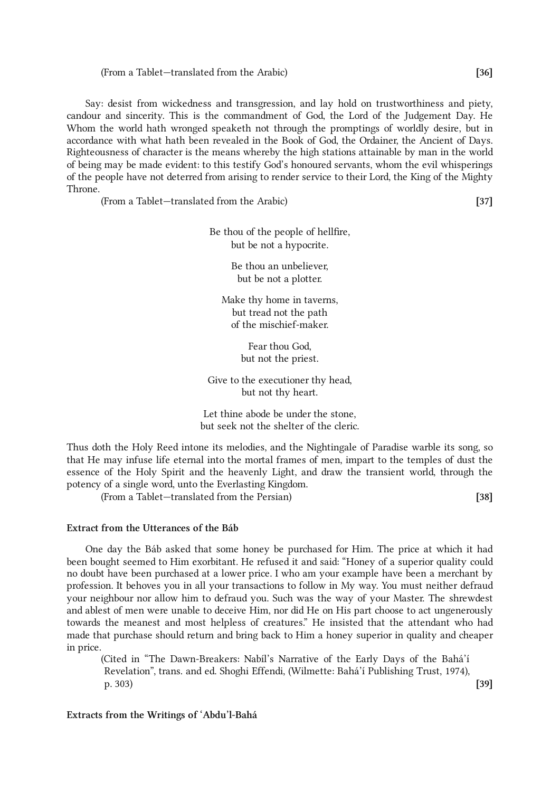### (From a Tablet—translated from the Arabic) [36]

Say: desist from wickedness and transgression, and lay hold on trustworthiness and piety, candour and sincerity. This is the commandment of God, the Lord of the Judgement Day. He Whom the world hath wronged speaketh not through the promptings of worldly desire, but in accordance with what hath been revealed in the Book of God, the Ordainer, the Ancient of Days. Righteousness of character is the means whereby the high stations attainable by man in the world of being may be made evident: to this testify God's honoured servants, whom the evil whisperings of the people have not deterred from arising to render service to their Lord, the King of the Mighty Throne.

(From a Tablet—translated from the Arabic) [37]

Be thou of the people of hellfire, but be not a hypocrite.

> Be thou an unbeliever, but be not a plotter.

Make thy home in taverns, but tread not the path of the mischief-maker.

> Fear thou God, but not the priest.

Give to the executioner thy head, but not thy heart.

Let thine abode be under the stone, but seek not the shelter of the cleric.

Thus doth the Holy Reed intone its melodies, and the Nightingale of Paradise warble its song, so that He may infuse life eternal into the mortal frames of men, impart to the temples of dust the essence of the Holy Spirit and the heavenly Light, and draw the transient world, through the potency of a single word, unto the Everlasting Kingdom.

(From a Tablet—translated from the Persian) [38]

### Extract from the Utterances of the Báb

One day the Báb asked that some honey be purchased for Him. The price at which it had been bought seemed to Him exorbitant. He refused it and said: "Honey of a superior quality could no doubt have been purchased at a lower price. I who am your example have been a merchant by profession. It behoves you in all your transactions to follow in My way. You must neither defraud your neighbour nor allow him to defraud you. Such was the way of your Master. The shrewdest and ablest of men were unable to deceive Him, nor did He on His part choose to act ungenerously towards the meanest and most helpless of creatures." He insisted that the attendant who had made that purchase should return and bring back to Him a honey superior in quality and cheaper in price.

(Cited in "The Dawn-Breakers: Nabíl's Narrative of the Early Days of the Bahá'í Revelation", trans. and ed. Shoghi Effendi, (Wilmette: Bahá'í Publishing Trust, 1974), p. 303) [39]

## Extracts from the Writings of 'Abdu'l-Bahá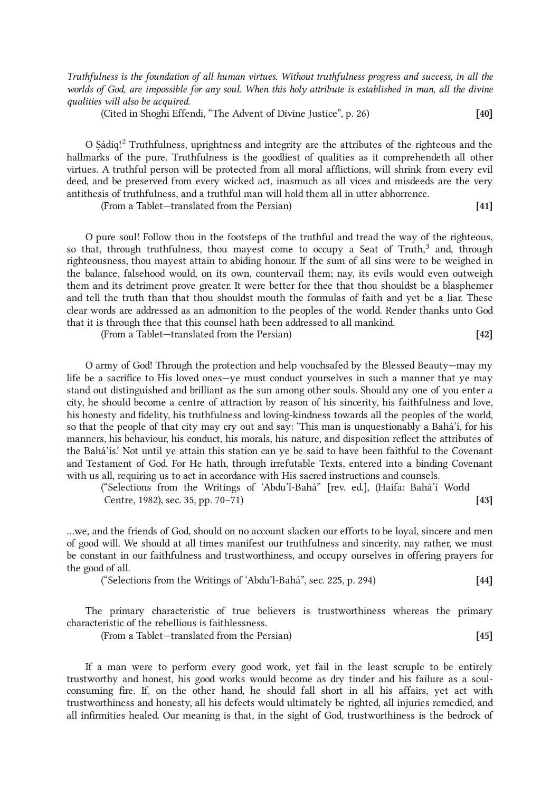Truthfulness is the foundation of all human virtues. Without truthfulness progress and success, in all the worlds of God, are impossible for any soul. When this holy attribute is established in man, all the divine qualities will also be acquired.

(Cited in Shoghi Effendi, "The Advent of Divine Justice", p. 26) [40]

<span id="page-7-0"></span>O Ṣádiq! [2](#page-16-1) Truthfulness, uprightness and integrity are the attributes of the righteous and the hallmarks of the pure. Truthfulness is the goodliest of qualities as it comprehendeth all other virtues. A truthful person will be protected from all moral afflictions, will shrink from every evil deed, and be preserved from every wicked act, inasmuch as all vices and misdeeds are the very antithesis of truthfulness, and a truthful man will hold them all in utter abhorrence.

(From a Tablet—translated from the Persian) [41]

<span id="page-7-1"></span>O pure soul! Follow thou in the footsteps of the truthful and tread the way of the righteous, so that, through truthfulness, thou mayest come to occupy a Seat of Truth,<sup>[3](#page-16-2)</sup> and, through righteousness, thou mayest attain to abiding honour. If the sum of all sins were to be weighed in the balance, falsehood would, on its own, countervail them; nay, its evils would even outweigh them and its detriment prove greater. It were better for thee that thou shouldst be a blasphemer and tell the truth than that thou shouldst mouth the formulas of faith and yet be a liar. These clear words are addressed as an admonition to the peoples of the world. Render thanks unto God that it is through thee that this counsel hath been addressed to all mankind.

(From a Tablet—translated from the Persian) [42]

O army of God! Through the protection and help vouchsafed by the Blessed Beauty—may my life be a sacrifice to His loved ones—ye must conduct yourselves in such a manner that ye may stand out distinguished and brilliant as the sun among other souls. Should any one of you enter a city, he should become a centre of attraction by reason of his sincerity, his faithfulness and love, his honesty and fidelity, his truthfulness and loving-kindness towards all the peoples of the world, so that the people of that city may cry out and say: 'This man is unquestionably a Bahá'í, for his manners, his behaviour, his conduct, his morals, his nature, and disposition reflect the attributes of the Bahá'ís.' Not until ye attain this station can ye be said to have been faithful to the Covenant and Testament of God. For He hath, through irrefutable Texts, entered into a binding Covenant with us all, requiring us to act in accordance with His sacred instructions and counsels.

("Selections from the Writings of 'Abdu'l-Bahá" [rev. ed.], (Haifa: Bahá'í World Centre, 1982), sec. 35, pp. 70–71) [43]

...we, and the friends of God, should on no account slacken our efforts to be loyal, sincere and men of good will. We should at all times manifest our truthfulness and sincerity, nay rather, we must be constant in our faithfulness and trustworthiness, and occupy ourselves in offering prayers for the good of all.

("Selections from the Writings of 'Abdu'l-Bahá", sec. 225, p. 294)  $[44]$ 

The primary characteristic of true believers is trustworthiness whereas the primary characteristic of the rebellious is faithlessness.

(From a Tablet—translated from the Persian) [45]

If a man were to perform every good work, yet fail in the least scruple to be entirely trustworthy and honest, his good works would become as dry tinder and his failure as a soulconsuming fire. If, on the other hand, he should fall short in all his affairs, yet act with trustworthiness and honesty, all his defects would ultimately be righted, all injuries remedied, and all infirmities healed. Our meaning is that, in the sight of God, trustworthiness is the bedrock of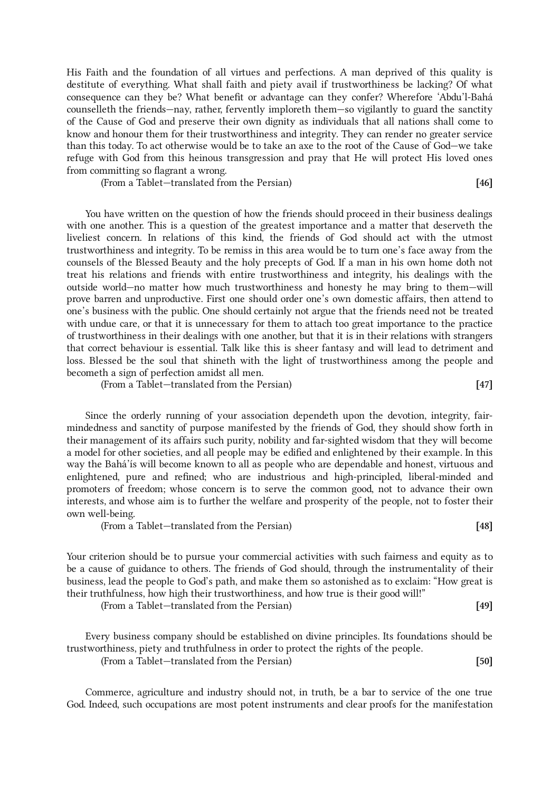His Faith and the foundation of all virtues and perfections. A man deprived of this quality is destitute of everything. What shall faith and piety avail if trustworthiness be lacking? Of what consequence can they be? What benefit or advantage can they confer? Wherefore 'Abdu'l-Bahá counselleth the friends—nay, rather, fervently imploreth them—so vigilantly to guard the sanctity of the Cause of God and preserve their own dignity as individuals that all nations shall come to know and honour them for their trustworthiness and integrity. They can render no greater service than this today. To act otherwise would be to take an axe to the root of the Cause of God—we take refuge with God from this heinous transgression and pray that He will protect His loved ones from committing so flagrant a wrong.

(From a Tablet—translated from the Persian) [46]

You have written on the question of how the friends should proceed in their business dealings with one another. This is a question of the greatest importance and a matter that deserveth the liveliest concern. In relations of this kind, the friends of God should act with the utmost trustworthiness and integrity. To be remiss in this area would be to turn one's face away from the counsels of the Blessed Beauty and the holy precepts of God. If a man in his own home doth not treat his relations and friends with entire trustworthiness and integrity, his dealings with the outside world—no matter how much trustworthiness and honesty he may bring to them—will prove barren and unproductive. First one should order one's own domestic affairs, then attend to one's business with the public. One should certainly not argue that the friends need not be treated with undue care, or that it is unnecessary for them to attach too great importance to the practice of trustworthiness in their dealings with one another, but that it is in their relations with strangers that correct behaviour is essential. Talk like this is sheer fantasy and will lead to detriment and loss. Blessed be the soul that shineth with the light of trustworthiness among the people and becometh a sign of perfection amidst all men.

(From a Tablet—translated from the Persian) [47]

Since the orderly running of your association dependeth upon the devotion, integrity, fairmindedness and sanctity of purpose manifested by the friends of God, they should show forth in their management of its affairs such purity, nobility and far-sighted wisdom that they will become a model for other societies, and all people may be edified and enlightened by their example. In this way the Bahá'ís will become known to all as people who are dependable and honest, virtuous and enlightened, pure and refined; who are industrious and high-principled, liberal-minded and promoters of freedom; whose concern is to serve the common good, not to advance their own interests, and whose aim is to further the welfare and prosperity of the people, not to foster their own well-being.

(From a Tablet—translated from the Persian) [48]

Your criterion should be to pursue your commercial activities with such fairness and equity as to be a cause of guidance to others. The friends of God should, through the instrumentality of their business, lead the people to God's path, and make them so astonished as to exclaim: "How great is their truthfulness, how high their trustworthiness, and how true is their good will!"

(From a Tablet—translated from the Persian) [49]

Every business company should be established on divine principles. Its foundations should be trustworthiness, piety and truthfulness in order to protect the rights of the people.

(From a Tablet—translated from the Persian) [50]

Commerce, agriculture and industry should not, in truth, be a bar to service of the one true God. Indeed, such occupations are most potent instruments and clear proofs for the manifestation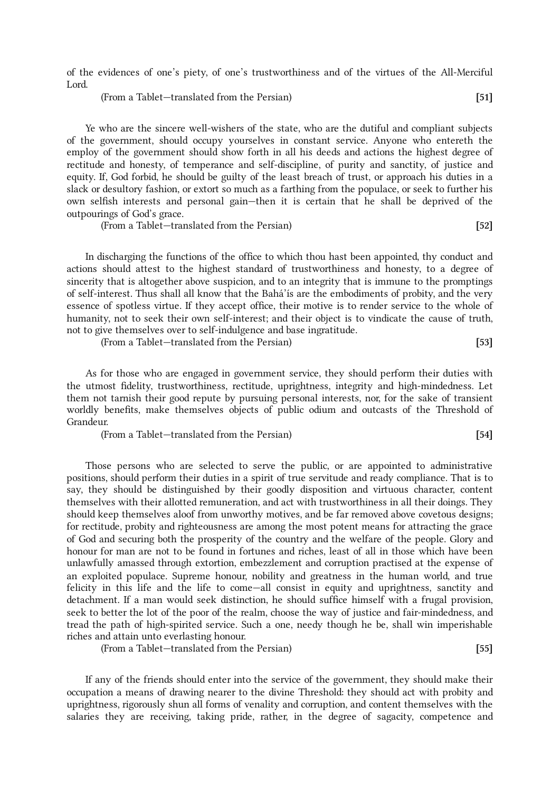of the evidences of one's piety, of one's trustworthiness and of the virtues of the All-Merciful Lord.

(From a Tablet—translated from the Persian) [51]

Ye who are the sincere well-wishers of the state, who are the dutiful and compliant subjects of the government, should occupy yourselves in constant service. Anyone who entereth the employ of the government should show forth in all his deeds and actions the highest degree of rectitude and honesty, of temperance and self-discipline, of purity and sanctity, of justice and equity. If, God forbid, he should be guilty of the least breach of trust, or approach his duties in a slack or desultory fashion, or extort so much as a farthing from the populace, or seek to further his own selfish interests and personal gain—then it is certain that he shall be deprived of the outpourings of God's grace.

(From a Tablet—translated from the Persian) [52]

In discharging the functions of the office to which thou hast been appointed, thy conduct and actions should attest to the highest standard of trustworthiness and honesty, to a degree of sincerity that is altogether above suspicion, and to an integrity that is immune to the promptings of self-interest. Thus shall all know that the Bahá'ís are the embodiments of probity, and the very essence of spotless virtue. If they accept office, their motive is to render service to the whole of humanity, not to seek their own self-interest; and their object is to vindicate the cause of truth, not to give themselves over to self-indulgence and base ingratitude.

(From a Tablet—translated from the Persian) [53]

As for those who are engaged in government service, they should perform their duties with the utmost fidelity, trustworthiness, rectitude, uprightness, integrity and high-mindedness. Let them not tarnish their good repute by pursuing personal interests, nor, for the sake of transient worldly benefits, make themselves objects of public odium and outcasts of the Threshold of Grandeur.

(From a Tablet—translated from the Persian) [54]

Those persons who are selected to serve the public, or are appointed to administrative positions, should perform their duties in a spirit of true servitude and ready compliance. That is to say, they should be distinguished by their goodly disposition and virtuous character, content themselves with their allotted remuneration, and act with trustworthiness in all their doings. They should keep themselves aloof from unworthy motives, and be far removed above covetous designs; for rectitude, probity and righteousness are among the most potent means for attracting the grace of God and securing both the prosperity of the country and the welfare of the people. Glory and honour for man are not to be found in fortunes and riches, least of all in those which have been unlawfully amassed through extortion, embezzlement and corruption practised at the expense of an exploited populace. Supreme honour, nobility and greatness in the human world, and true felicity in this life and the life to come—all consist in equity and uprightness, sanctity and detachment. If a man would seek distinction, he should suffice himself with a frugal provision, seek to better the lot of the poor of the realm, choose the way of justice and fair-mindedness, and tread the path of high-spirited service. Such a one, needy though he be, shall win imperishable riches and attain unto everlasting honour.

(From a Tablet—translated from the Persian) [55]

<span id="page-9-0"></span>If any of the friends should enter into the service of the government, they should make their occupation a means of drawing nearer to the divine Threshold: they should act with probity and uprightness, rigorously shun all forms of venality and corruption, and content themselves with the salaries they are receiving, taking pride, rather, in the degree of sagacity, competence and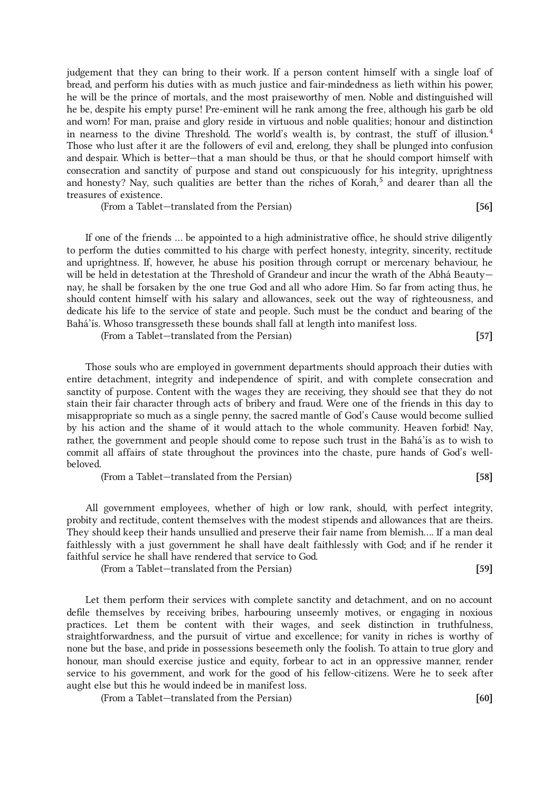judgement that they can bring to their work. If a person content himself with a single loaf of bread, and perform his duties with as much justice and fair-mindedness as lieth within his power, he will be the prince of mortals, and the most praiseworthy of men. Noble and distinguished will he be, despite his empty purse! Pre-eminent will he rank among the free, although his garb be old and worn! For man, praise and glory reside in virtuous and noble qualities; honour and distinction in nearness to the divine Threshold. The world's wealth is, by contrast, the stuff of illusion. [4](#page-16-3) Those who lust after it are the followers of evil and, erelong, they shall be plunged into confusion and despair. Which is better—that a man should be thus, or that he should comport himself with consecration and sanctity of purpose and stand out conspicuously for his integrity, uprightness and honesty? Nay, such qualities are better than the riches of Korah, [5](#page-16-4) and dearer than all the treasures of existence.

(From a Tablet—translated from the Persian) [56]

If one of the friends ... be appointed to a high administrative office, he should strive diligently to perform the duties committed to his charge with perfect honesty, integrity, sincerity, rectitude and uprightness. If, however, he abuse his position through corrupt or mercenary behaviour, he will be held in detestation at the Threshold of Grandeur and incur the wrath of the Abhá Beauty nay, he shall be forsaken by the one true God and all who adore Him. So far from acting thus, he should content himself with his salary and allowances, seek out the way of righteousness, and dedicate his life to the service of state and people. Such must be the conduct and bearing of the Bahá'ís. Whoso transgresseth these bounds shall fall at length into manifest loss.

(From a Tablet—translated from the Persian) [57]

Those souls who are employed in government departments should approach their duties with entire detachment, integrity and independence of spirit, and with complete consecration and sanctity of purpose. Content with the wages they are receiving, they should see that they do not stain their fair character through acts of bribery and fraud. Were one of the friends in this day to misappropriate so much as a single penny, the sacred mantle of God's Cause would become sullied by his action and the shame of it would attach to the whole community. Heaven forbid! Nay, rather, the government and people should come to repose such trust in the Bahá'ís as to wish to commit all affairs of state throughout the provinces into the chaste, pure hands of God's wellbeloved.

(From a Tablet—translated from the Persian) [58]

All government employees, whether of high or low rank, should, with perfect integrity, probity and rectitude, content themselves with the modest stipends and allowances that are theirs. They should keep their hands unsullied and preserve their fair name from blemish.... If a man deal faithlessly with a just government he shall have dealt faithlessly with God; and if he render it faithful service he shall have rendered that service to God.

(From a Tablet—translated from the Persian) [59]

Let them perform their services with complete sanctity and detachment, and on no account defile themselves by receiving bribes, harbouring unseemly motives, or engaging in noxious practices. Let them be content with their wages, and seek distinction in truthfulness, straightforwardness, and the pursuit of virtue and excellence; for vanity in riches is worthy of none but the base, and pride in possessions beseemeth only the foolish. To attain to true glory and honour, man should exercise justice and equity, forbear to act in an oppressive manner, render service to his government, and work for the good of his fellow-citizens. Were he to seek after aught else but this he would indeed be in manifest loss.

(From a Tablet—translated from the Persian) [60]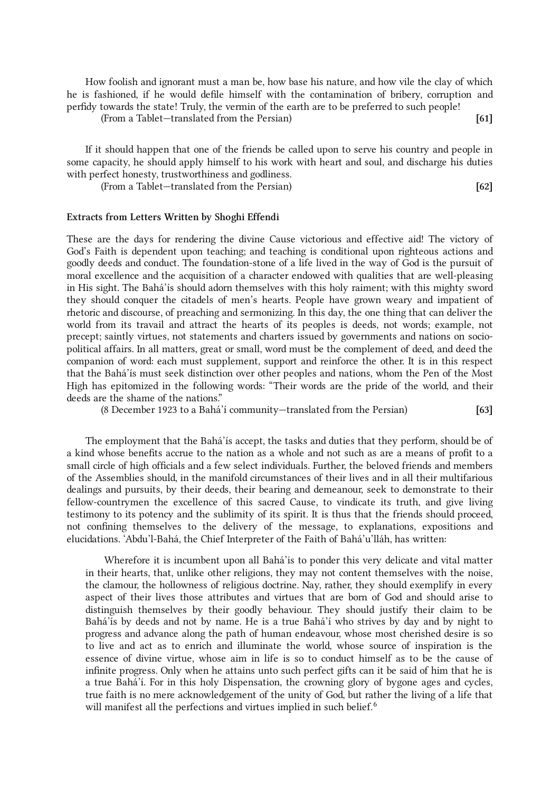How foolish and ignorant must a man be, how base his nature, and how vile the clay of which he is fashioned, if he would defile himself with the contamination of bribery, corruption and perfidy towards the state! Truly, the vermin of the earth are to be preferred to such people!

(From a Tablet—translated from the Persian) [61]

If it should happen that one of the friends be called upon to serve his country and people in some capacity, he should apply himself to his work with heart and soul, and discharge his duties with perfect honesty, trustworthiness and godliness.

(From a Tablet—translated from the Persian) [62]

## Extracts from Letters Written by Shoghi Effendi

These are the days for rendering the divine Cause victorious and effective aid! The victory of God's Faith is dependent upon teaching; and teaching is conditional upon righteous actions and goodly deeds and conduct. The foundation-stone of a life lived in the way of God is the pursuit of moral excellence and the acquisition of a character endowed with qualities that are well-pleasing in His sight. The Bahá'ís should adorn themselves with this holy raiment; with this mighty sword they should conquer the citadels of men's hearts. People have grown weary and impatient of rhetoric and discourse, of preaching and sermonizing. In this day, the one thing that can deliver the world from its travail and attract the hearts of its peoples is deeds, not words; example, not precept; saintly virtues, not statements and charters issued by governments and nations on sociopolitical affairs. In all matters, great or small, word must be the complement of deed, and deed the companion of word: each must supplement, support and reinforce the other. It is in this respect that the Bahá'ís must seek distinction over other peoples and nations, whom the Pen of the Most High has epitomized in the following words: "Their words are the pride of the world, and their deeds are the shame of the nations."

(8 December 1923 to a Bahá'í community—translated from the Persian) [63]

The employment that the Bahá'ís accept, the tasks and duties that they perform, should be of a kind whose benefits accrue to the nation as a whole and not such as are a means of profit to a small circle of high officials and a few select individuals. Further, the beloved friends and members of the Assemblies should, in the manifold circumstances of their lives and in all their multifarious dealings and pursuits, by their deeds, their bearing and demeanour, seek to demonstrate to their fellow-countrymen the excellence of this sacred Cause, to vindicate its truth, and give living testimony to its potency and the sublimity of its spirit. It is thus that the friends should proceed, not confining themselves to the delivery of the message, to explanations, expositions and elucidations. 'Abdu'l-Bahá, the Chief Interpreter of the Faith of Bahá'u'lláh, has written:

<span id="page-11-0"></span>Wherefore it is incumbent upon all Bahá'is to ponder this very delicate and vital matter in their hearts, that, unlike other religions, they may not content themselves with the noise, the clamour, the hollowness of religious doctrine. Nay, rather, they should exemplify in every aspect of their lives those attributes and virtues that are born of God and should arise to distinguish themselves by their goodly behaviour. They should justify their claim to be Bahá'ís by deeds and not by name. He is a true Bahá'í who strives by day and by night to progress and advance along the path of human endeavour, whose most cherished desire is so to live and act as to enrich and illuminate the world, whose source of inspiration is the essence of divine virtue, whose aim in life is so to conduct himself as to be the cause of infinite progress. Only when he attains unto such perfect gifts can it be said of him that he is a true Bahá'í. For in this holy Dispensation, the crowning glory of bygone ages and cycles, true faith is no mere acknowledgement of the unity of God, but rather the living of a life that will manifest all the perfections and virtues implied in such belief.<sup>[6](#page-16-5)</sup>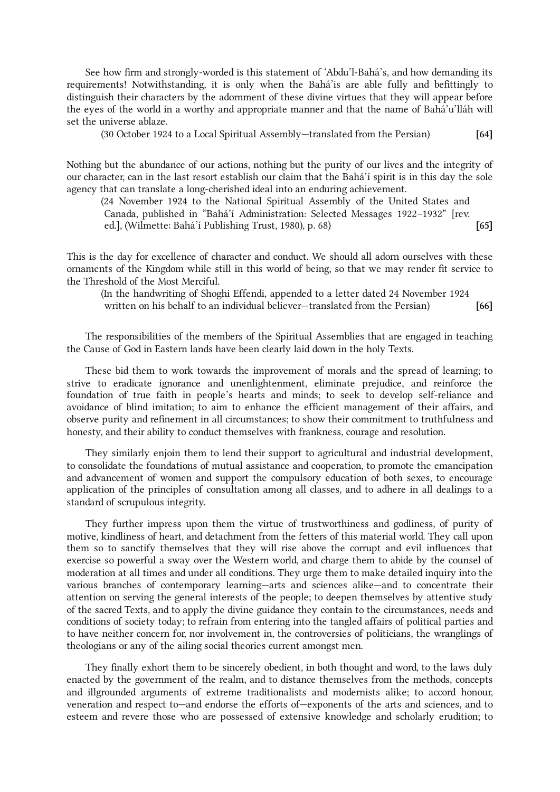See how firm and strongly-worded is this statement of 'Abdu'l-Bahá's, and how demanding its requirements! Notwithstanding, it is only when the Bahá'is are able fully and befittingly to distinguish their characters by the adornment of these divine virtues that they will appear before the eyes of the world in a worthy and appropriate manner and that the name of Bahá'u'lláh will set the universe ablaze.

(30 October 1924 to a Local Spiritual Assembly—translated from the Persian) [64]

Nothing but the abundance of our actions, nothing but the purity of our lives and the integrity of our character, can in the last resort establish our claim that the Bahá'í spirit is in this day the sole agency that can translate a long-cherished ideal into an enduring achievement.

(24 November 1924 to the National Spiritual Assembly of the United States and Canada, published in "Bahá'í Administration: Selected Messages 1922–1932" [rev. ed.], (Wilmette: Bahá'í Publishing Trust, 1980), p. 68) [65]

This is the day for excellence of character and conduct. We should all adorn ourselves with these ornaments of the Kingdom while still in this world of being, so that we may render fit service to the Threshold of the Most Merciful.

(In the handwriting of Shoghi Effendi, appended to a letter dated 24 November 1924 written on his behalf to an individual believer—translated from the Persian) [66]

The responsibilities of the members of the Spiritual Assemblies that are engaged in teaching the Cause of God in Eastern lands have been clearly laid down in the holy Texts.

These bid them to work towards the improvement of morals and the spread of learning; to strive to eradicate ignorance and unenlightenment, eliminate prejudice, and reinforce the foundation of true faith in people's hearts and minds; to seek to develop self-reliance and avoidance of blind imitation; to aim to enhance the efficient management of their affairs, and observe purity and refinement in all circumstances; to show their commitment to truthfulness and honesty, and their ability to conduct themselves with frankness, courage and resolution.

They similarly enjoin them to lend their support to agricultural and industrial development, to consolidate the foundations of mutual assistance and cooperation, to promote the emancipation and advancement of women and support the compulsory education of both sexes, to encourage application of the principles of consultation among all classes, and to adhere in all dealings to a standard of scrupulous integrity.

They further impress upon them the virtue of trustworthiness and godliness, of purity of motive, kindliness of heart, and detachment from the fetters of this material world. They call upon them so to sanctify themselves that they will rise above the corrupt and evil influences that exercise so powerful a sway over the Western world, and charge them to abide by the counsel of moderation at all times and under all conditions. They urge them to make detailed inquiry into the various branches of contemporary learning—arts and sciences alike—and to concentrate their attention on serving the general interests of the people; to deepen themselves by attentive study of the sacred Texts, and to apply the divine guidance they contain to the circumstances, needs and conditions of society today; to refrain from entering into the tangled affairs of political parties and to have neither concern for, nor involvement in, the controversies of politicians, the wranglings of theologians or any of the ailing social theories current amongst men.

They finally exhort them to be sincerely obedient, in both thought and word, to the laws duly enacted by the government of the realm, and to distance themselves from the methods, concepts and illgrounded arguments of extreme traditionalists and modernists alike; to accord honour, veneration and respect to—and endorse the efforts of—exponents of the arts and sciences, and to esteem and revere those who are possessed of extensive knowledge and scholarly erudition; to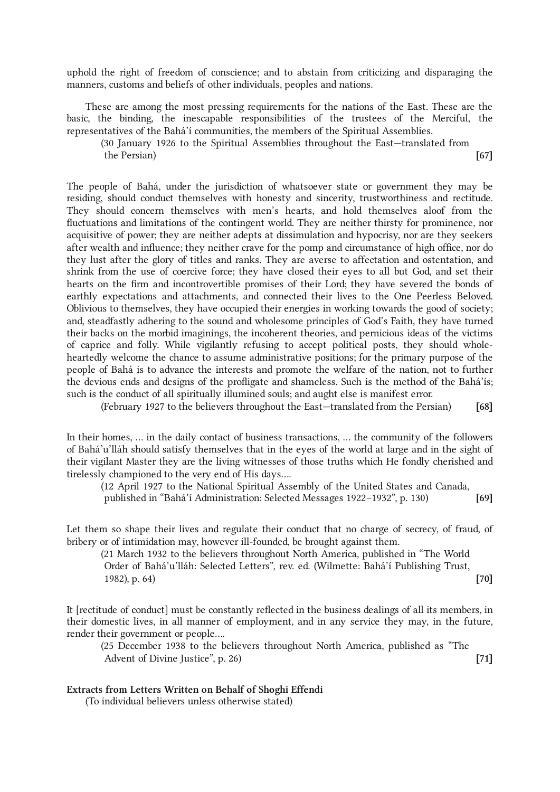uphold the right of freedom of conscience; and to abstain from criticizing and disparaging the manners, customs and beliefs of other individuals, peoples and nations.

These are among the most pressing requirements for the nations of the East. These are the basic, the binding, the inescapable responsibilities of the trustees of the Merciful, the representatives of the Bahá'í communities, the members of the Spiritual Assemblies.

(30 January 1926 to the Spiritual Assemblies throughout the East—translated from the Persian) [67]

The people of Bahá, under the jurisdiction of whatsoever state or government they may be residing, should conduct themselves with honesty and sincerity, trustworthiness and rectitude. They should concern themselves with men's hearts, and hold themselves aloof from the fluctuations and limitations of the contingent world. They are neither thirsty for prominence, nor acquisitive of power; they are neither adepts at dissimulation and hypocrisy, nor are they seekers after wealth and influence; they neither crave for the pomp and circumstance of high office, nor do they lust after the glory of titles and ranks. They are averse to affectation and ostentation, and shrink from the use of coercive force; they have closed their eyes to all but God, and set their hearts on the firm and incontrovertible promises of their Lord; they have severed the bonds of earthly expectations and attachments, and connected their lives to the One Peerless Beloved. Oblivious to themselves, they have occupied their energies in working towards the good of society; and, steadfastly adhering to the sound and wholesome principles of God's Faith, they have turned their backs on the morbid imaginings, the incoherent theories, and pernicious ideas of the victims of caprice and folly. While vigilantly refusing to accept political posts, they should wholeheartedly welcome the chance to assume administrative positions; for the primary purpose of the people of Bahá is to advance the interests and promote the welfare of the nation, not to further the devious ends and designs of the profligate and shameless. Such is the method of the Bahá'ís; such is the conduct of all spiritually illumined souls; and aught else is manifest error.

(February 1927 to the believers throughout the East—translated from the Persian) [68]

In their homes, ... in the daily contact of business transactions, ... the community of the followers of Bahá'u'lláh should satisfy themselves that in the eyes of the world at large and in the sight of their vigilant Master they are the living witnesses of those truths which He fondly cherished and tirelessly championed to the very end of His days....

(12 April 1927 to the National Spiritual Assembly of the United States and Canada, published in "Bahá'í Administration: Selected Messages 1922-1932", p. 130) [69]

Let them so shape their lives and regulate their conduct that no charge of secrecy, of fraud, of bribery or of intimidation may, however ill-founded, be brought against them.

(21 March 1932 to the believers throughout North America, published in "The World Order of Bahá'u'lláh: Selected Letters", rev. ed. (Wilmette: Bahá'í Publishing Trust, 1982), p. 64) [70]

It [rectitude of conduct] must be constantly reflected in the business dealings of all its members, in their domestic lives, in all manner of employment, and in any service they may, in the future, render their government or people....

(25 December 1938 to the believers throughout North America, published as "The Advent of Divine Justice", p. 26) [71]

## Extracts from Letters Written on Behalf of Shoghi Effendi

(To individual believers unless otherwise stated)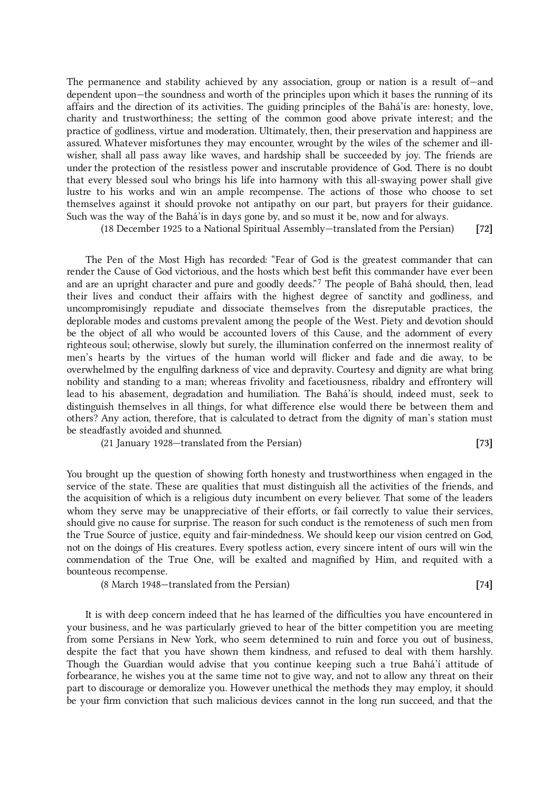The permanence and stability achieved by any association, group or nation is a result of—and dependent upon—the soundness and worth of the principles upon which it bases the running of its affairs and the direction of its activities. The guiding principles of the Bahá'ís are: honesty, love, charity and trustworthiness; the setting of the common good above private interest; and the practice of godliness, virtue and moderation. Ultimately, then, their preservation and happiness are assured. Whatever misfortunes they may encounter, wrought by the wiles of the schemer and illwisher, shall all pass away like waves, and hardship shall be succeeded by joy. The friends are under the protection of the resistless power and inscrutable providence of God. There is no doubt that every blessed soul who brings his life into harmony with this all-swaying power shall give lustre to his works and win an ample recompense. The actions of those who choose to set themselves against it should provoke not antipathy on our part, but prayers for their guidance. Such was the way of the Bahá'ís in days gone by, and so must it be, now and for always.

(18 December 1925 to a National Spiritual Assembly—translated from the Persian) [72]

<span id="page-14-0"></span>The Pen of the Most High has recorded: "Fear of God is the greatest commander that can render the Cause of God victorious, and the hosts which best befit this commander have ever been and are an upright character and pure and goodly deeds." [7](#page-16-6) The people of Bahá should, then, lead their lives and conduct their affairs with the highest degree of sanctity and godliness, and uncompromisingly repudiate and dissociate themselves from the disreputable practices, the deplorable modes and customs prevalent among the people of the West. Piety and devotion should be the object of all who would be accounted lovers of this Cause, and the adornment of every righteous soul; otherwise, slowly but surely, the illumination conferred on the innermost reality of men's hearts by the virtues of the human world will flicker and fade and die away, to be overwhelmed by the engulfing darkness of vice and depravity. Courtesy and dignity are what bring nobility and standing to a man; whereas frivolity and facetiousness, ribaldry and effrontery will lead to his abasement, degradation and humiliation. The Bahá'ís should, indeed must, seek to distinguish themselves in all things, for what difference else would there be between them and others? Any action, therefore, that is calculated to detract from the dignity of man's station must be steadfastly avoided and shunned.

(21 January 1928—translated from the Persian) [73]

You brought up the question of showing forth honesty and trustworthiness when engaged in the service of the state. These are qualities that must distinguish all the activities of the friends, and the acquisition of which is a religious duty incumbent on every believer. That some of the leaders whom they serve may be unappreciative of their efforts, or fail correctly to value their services, should give no cause for surprise. The reason for such conduct is the remoteness of such men from the True Source of justice, equity and fair-mindedness. We should keep our vision centred on God, not on the doings of His creatures. Every spotless action, every sincere intent of ours will win the commendation of the True One, will be exalted and magnified by Him, and requited with a bounteous recompense.

(8 March 1948—translated from the Persian) [74]

It is with deep concern indeed that he has learned of the difficulties you have encountered in your business, and he was particularly grieved to hear of the bitter competition you are meeting from some Persians in New York, who seem determined to ruin and force you out of business, despite the fact that you have shown them kindness, and refused to deal with them harshly. Though the Guardian would advise that you continue keeping such a true Bahá'í attitude of forbearance, he wishes you at the same time not to give way, and not to allow any threat on their part to discourage or demoralize you. However unethical the methods they may employ, it should be your firm conviction that such malicious devices cannot in the long run succeed, and that the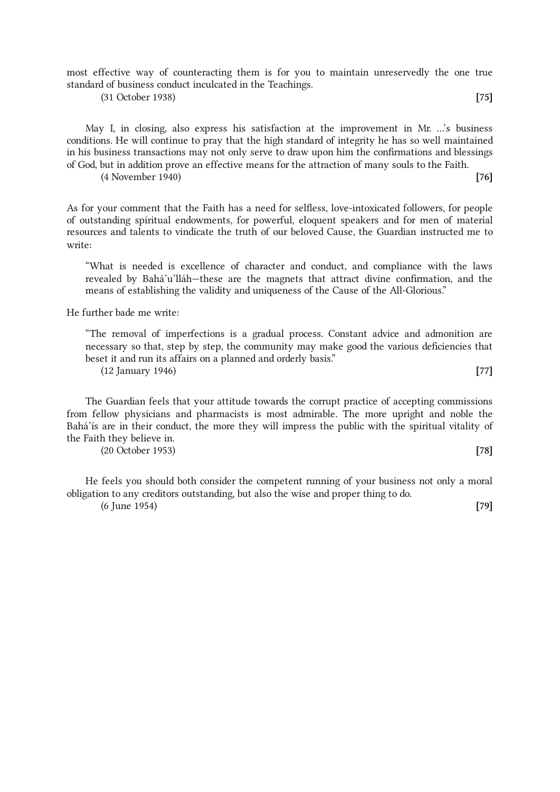most effective way of counteracting them is for you to maintain unreservedly the one true standard of business conduct inculcated in the Teachings.

(31 October 1938) [75]

May I, in closing, also express his satisfaction at the improvement in Mr. ...'s business conditions. He will continue to pray that the high standard of integrity he has so well maintained in his business transactions may not only serve to draw upon him the confirmations and blessings of God, but in addition prove an effective means for the attraction of many souls to the Faith.

(4 November 1940) [76]

As for your comment that the Faith has a need for selfless, love-intoxicated followers, for people of outstanding spiritual endowments, for powerful, eloquent speakers and for men of material resources and talents to vindicate the truth of our beloved Cause, the Guardian instructed me to write:

"What is needed is excellence of character and conduct, and compliance with the laws revealed by Bahá'u'lláh—these are the magnets that attract divine confirmation, and the means of establishing the validity and uniqueness of the Cause of the All-Glorious."

He further bade me write:

"The removal of imperfections is a gradual process. Constant advice and admonition are necessary so that, step by step, the community may make good the various deficiencies that beset it and run its affairs on a planned and orderly basis." (12 January 1946) [77]

The Guardian feels that your attitude towards the corrupt practice of accepting commissions from fellow physicians and pharmacists is most admirable. The more upright and noble the Bahá'ís are in their conduct, the more they will impress the public with the spiritual vitality of the Faith they believe in.

(20 October 1953) [78]

He feels you should both consider the competent running of your business not only a moral obligation to any creditors outstanding, but also the wise and proper thing to do. (6 June 1954) [79]